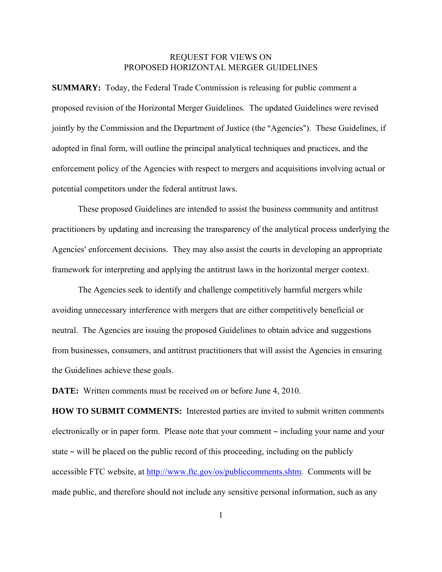## REQUEST FOR VIEWS ON PROPOSED HORIZONTAL MERGER GUIDELINES

**SUMMARY:** Today, the Federal Trade Commission is releasing for public comment a proposed revision of the Horizontal Merger Guidelines. The updated Guidelines were revised jointly by the Commission and the Department of Justice (the "Agencies"). These Guidelines, if adopted in final form, will outline the principal analytical techniques and practices, and the enforcement policy of the Agencies with respect to mergers and acquisitions involving actual or potential competitors under the federal antitrust laws.

These proposed Guidelines are intended to assist the business community and antitrust practitioners by updating and increasing the transparency of the analytical process underlying the Agencies' enforcement decisions. They may also assist the courts in developing an appropriate framework for interpreting and applying the antitrust laws in the horizontal merger context.

The Agencies seek to identify and challenge competitively harmful mergers while avoiding unnecessary interference with mergers that are either competitively beneficial or neutral. The Agencies are issuing the proposed Guidelines to obtain advice and suggestions from businesses, consumers, and antitrust practitioners that will assist the Agencies in ensuring the Guidelines achieve these goals.

**DATE:** Written comments must be received on or before June 4, 2010.

**HOW TO SUBMIT COMMENTS:** Interested parties are invited to submit written comments electronically or in paper form. Please note that your comment – including your name and your state – will be placed on the public record of this proceeding, including on the publicly accessible FTC website, at http://www.ftc.gov/os/publiccomments.shtm. Comments will be made public, and therefore should not include any sensitive personal information, such as any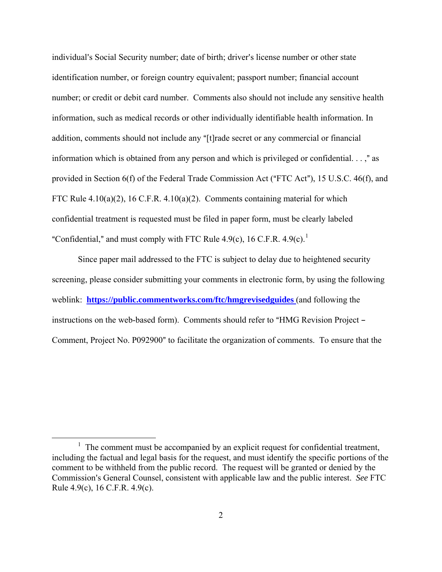individual's Social Security number; date of birth; driver's license number or other state identification number, or foreign country equivalent; passport number; financial account number; or credit or debit card number. Comments also should not include any sensitive health information, such as medical records or other individually identifiable health information. In addition, comments should not include any "[t]rade secret or any commercial or financial information which is obtained from any person and which is privileged or confidential.  $\ldots$ ," as provided in Section  $6(f)$  of the Federal Trade Commission Act ("FTC Act"), 15 U.S.C. 46(f), and FTC Rule 4.10(a)(2), 16 C.F.R. 4.10(a)(2). Comments containing material for which confidential treatment is requested must be filed in paper form, must be clearly labeled "Confidential," and must comply with FTC Rule 4.9(c), [1](#page-1-0)6 C.F.R. 4.9(c).<sup>1</sup>

Since paper mail addressed to the FTC is subject to delay due to heightened security screening, please consider submitting your comments in electronic form, by using the following weblink: **https://public.commentworks.com/ftc/hmgrevisedguides** (and following the instructions on the web-based form). Comments should refer to "HMG Revision Project – Comment, Project No. P092900" to facilitate the organization of comments. To ensure that the

<span id="page-1-0"></span><sup>&</sup>lt;u>1</u>  $\frac{1}{1}$  The comment must be accompanied by an explicit request for confidential treatment, including the factual and legal basis for the request, and must identify the specific portions of the comment to be withheld from the public record. The request will be granted or denied by the Commission's General Counsel, consistent with applicable law and the public interest. *See* FTC Rule 4.9(c), 16 C.F.R. 4.9(c).